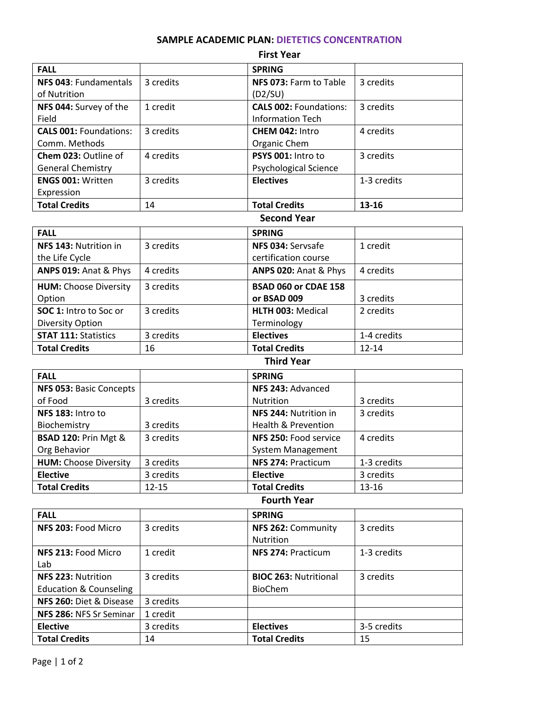# **SAMPLE ACADEMIC PLAN: DIETETICS CONCENTRATION**

| <b>First Year</b>             |           |                               |             |
|-------------------------------|-----------|-------------------------------|-------------|
| <b>FALL</b>                   |           | <b>SPRING</b>                 |             |
| NFS 043: Fundamentals         | 3 credits | NFS 073: Farm to Table        | 3 credits   |
| of Nutrition                  |           | (D2/SU)                       |             |
| NFS 044: Survey of the        | 1 credit  | <b>CALS 002: Foundations:</b> | 3 credits   |
| Field                         |           | <b>Information Tech</b>       |             |
| <b>CALS 001: Foundations:</b> | 3 credits | CHEM 042: Intro               | 4 credits   |
| Comm. Methods                 |           | Organic Chem                  |             |
| Chem 023: Outline of          | 4 credits | PSYS 001: Intro to            | 3 credits   |
| <b>General Chemistry</b>      |           | <b>Psychological Science</b>  |             |
| <b>ENGS 001: Written</b>      | 3 credits | <b>Electives</b>              | 1-3 credits |
| Expression                    |           |                               |             |
| <b>Total Credits</b>          | 14        | <b>Total Credits</b>          | $13 - 16$   |

#### **Second Year**

| <b>FALL</b>                  |           | <b>SPRING</b>            |             |
|------------------------------|-----------|--------------------------|-------------|
| NFS 143: Nutrition in        | 3 credits | NFS 034: Servsafe        | 1 credit    |
| the Life Cycle               |           | certification course     |             |
| ANPS 019: Anat & Phys        | 4 credits | ANPS 020: Anat & Phys    | 4 credits   |
| <b>HUM:</b> Choose Diversity | 3 credits | BSAD 060 or CDAE 158     |             |
| Option                       |           | or BSAD 009              | 3 credits   |
| SOC 1: Intro to Soc or       | 3 credits | <b>HLTH 003: Medical</b> | 2 credits   |
| <b>Diversity Option</b>      |           | Terminology              |             |
| <b>STAT 111: Statistics</b>  | 3 credits | <b>Electives</b>         | 1-4 credits |
| <b>Total Credits</b>         | 16        | <b>Total Credits</b>     | $12 - 14$   |

| <b>Third Year</b> |  |
|-------------------|--|
|-------------------|--|

| <b>FALL</b>                     |           | <b>SPRING</b>            |             |
|---------------------------------|-----------|--------------------------|-------------|
| NFS 053: Basic Concepts         |           | NFS 243: Advanced        |             |
| of Food                         | 3 credits | <b>Nutrition</b>         | 3 credits   |
| NFS 183: Intro to               |           | NFS 244: Nutrition in    | 3 credits   |
| Biochemistry                    | 3 credits | Health & Prevention      |             |
| <b>BSAD 120: Prin Mgt &amp;</b> | 3 credits | NFS 250: Food service    | 4 credits   |
| Org Behavior                    |           | <b>System Management</b> |             |
| <b>HUM: Choose Diversity</b>    | 3 credits | NFS 274: Practicum       | 1-3 credits |
| <b>Elective</b>                 | 3 credits | <b>Elective</b>          | 3 credits   |
| <b>Total Credits</b>            | $12 - 15$ | <b>Total Credits</b>     | $13 - 16$   |

### **Fourth Year**

| <b>FALL</b>                       |           | <b>SPRING</b>                |             |
|-----------------------------------|-----------|------------------------------|-------------|
| NFS 203: Food Micro               | 3 credits | NFS 262: Community           | 3 credits   |
|                                   |           | Nutrition                    |             |
| NFS 213: Food Micro               | 1 credit  | NFS 274: Practicum           | 1-3 credits |
| Lab                               |           |                              |             |
| NFS 223: Nutrition                | 3 credits | <b>BIOC 263: Nutritional</b> | 3 credits   |
| <b>Education &amp; Counseling</b> |           | <b>BioChem</b>               |             |
| NFS 260: Diet & Disease           | 3 credits |                              |             |
| NFS 286: NFS Sr Seminar           | 1 credit  |                              |             |
| <b>Elective</b>                   | 3 credits | <b>Electives</b>             | 3-5 credits |
| <b>Total Credits</b>              | 14        | <b>Total Credits</b>         | 15          |